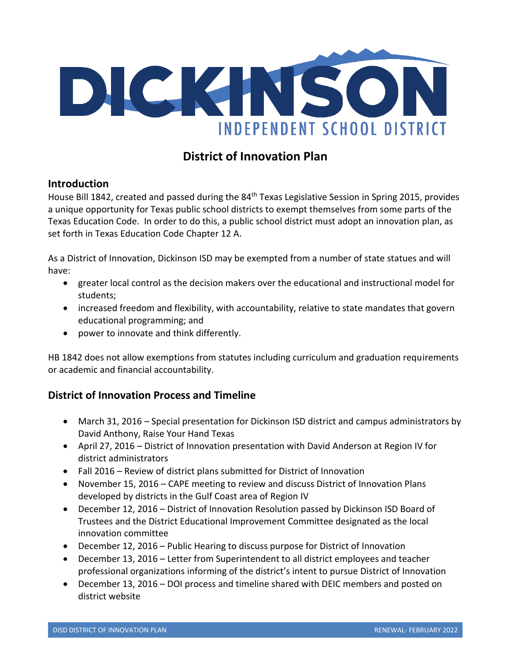

# **District of Innovation Plan**

# **Introduction**

House Bill 1842, created and passed during the 84<sup>th</sup> Texas Legislative Session in Spring 2015, provides a unique opportunity for Texas public school districts to exempt themselves from some parts of the Texas Education Code. In order to do this, a public school district must adopt an innovation plan, as set forth in Texas Education Code Chapter 12 A.

As a District of Innovation, Dickinson ISD may be exempted from a number of state statues and will have:

- greater local control as the decision makers over the educational and instructional model for students;
- increased freedom and flexibility, with accountability, relative to state mandates that govern educational programming; and
- power to innovate and think differently.

HB 1842 does not allow exemptions from statutes including curriculum and graduation requirements or academic and financial accountability.

# **District of Innovation Process and Timeline**

- March 31, 2016 Special presentation for Dickinson ISD district and campus administrators by David Anthony, Raise Your Hand Texas
- April 27, 2016 District of Innovation presentation with David Anderson at Region IV for district administrators
- Fall 2016 Review of district plans submitted for District of Innovation
- November 15, 2016 CAPE meeting to review and discuss District of Innovation Plans developed by districts in the Gulf Coast area of Region IV
- December 12, 2016 District of Innovation Resolution passed by Dickinson ISD Board of Trustees and the District Educational Improvement Committee designated as the local innovation committee
- December 12, 2016 Public Hearing to discuss purpose for District of Innovation
- December 13, 2016 Letter from Superintendent to all district employees and teacher professional organizations informing of the district's intent to pursue District of Innovation
- December 13, 2016 DOI process and timeline shared with DEIC members and posted on district website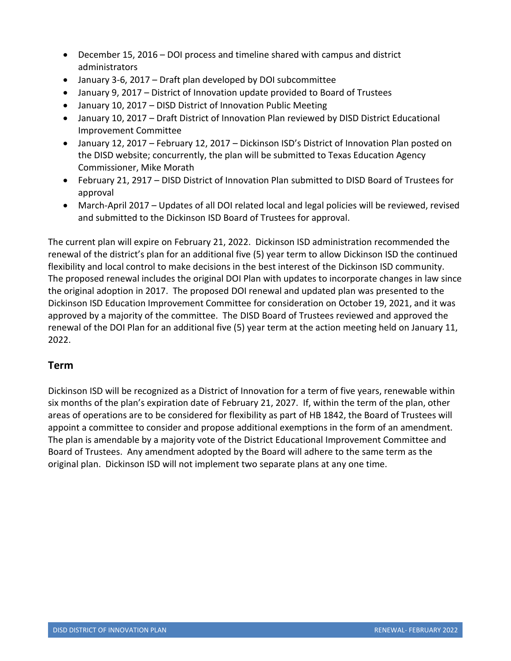- December 15, 2016 DOI process and timeline shared with campus and district administrators
- January 3-6, 2017 Draft plan developed by DOI subcommittee
- January 9, 2017 District of Innovation update provided to Board of Trustees
- January 10, 2017 DISD District of Innovation Public Meeting
- January 10, 2017 Draft District of Innovation Plan reviewed by DISD District Educational Improvement Committee
- January 12, 2017 February 12, 2017 Dickinson ISD's District of Innovation Plan posted on the DISD website; concurrently, the plan will be submitted to Texas Education Agency Commissioner, Mike Morath
- February 21, 2917 DISD District of Innovation Plan submitted to DISD Board of Trustees for approval
- March-April 2017 Updates of all DOI related local and legal policies will be reviewed, revised and submitted to the Dickinson ISD Board of Trustees for approval.

The current plan will expire on February 21, 2022. Dickinson ISD administration recommended the renewal of the district's plan for an additional five (5) year term to allow Dickinson ISD the continued flexibility and local control to make decisions in the best interest of the Dickinson ISD community. The proposed renewal includes the original DOI Plan with updates to incorporate changes in law since the original adoption in 2017. The proposed DOI renewal and updated plan was presented to the Dickinson ISD Education Improvement Committee for consideration on October 19, 2021, and it was approved by a majority of the committee. The DISD Board of Trustees reviewed and approved the renewal of the DOI Plan for an additional five (5) year term at the action meeting held on January 11, 2022.

# **Term**

Dickinson ISD will be recognized as a District of Innovation for a term of five years, renewable within six months of the plan's expiration date of February 21, 2027. If, within the term of the plan, other areas of operations are to be considered for flexibility as part of HB 1842, the Board of Trustees will appoint a committee to consider and propose additional exemptions in the form of an amendment. The plan is amendable by a majority vote of the District Educational Improvement Committee and Board of Trustees. Any amendment adopted by the Board will adhere to the same term as the original plan. Dickinson ISD will not implement two separate plans at any one time.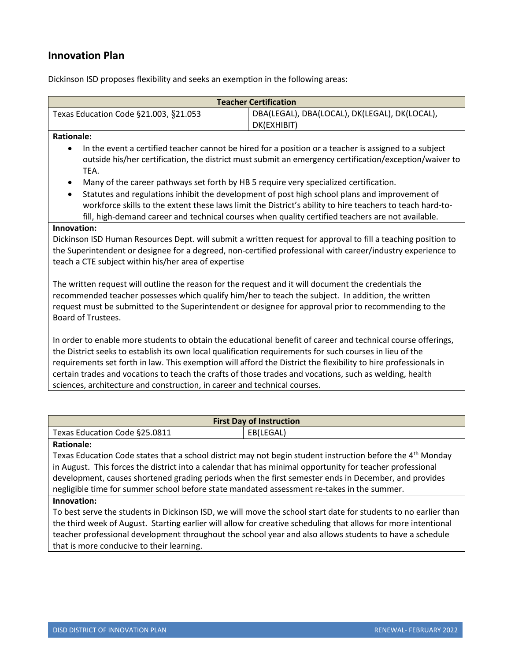# **Innovation Plan**

Dickinson ISD proposes flexibility and seeks an exemption in the following areas:

| <b>Teacher Certification</b>          |                                                              |
|---------------------------------------|--------------------------------------------------------------|
| Texas Education Code §21.003, §21.053 | DBA(LEGAL), DBA(LOCAL), DK(LEGAL), DK(LOCAL),<br>DK(EXHIBIT) |
|                                       |                                                              |

#### **Rationale:**

- In the event a certified teacher cannot be hired for a position or a teacher is assigned to a subject outside his/her certification, the district must submit an emergency certification/exception/waiver to TEA.
- Many of the career pathways set forth by HB 5 require very specialized certification.
- Statutes and regulations inhibit the development of post high school plans and improvement of workforce skills to the extent these laws limit the District's ability to hire teachers to teach hard-tofill, high-demand career and technical courses when quality certified teachers are not available.

#### **Innovation:**

Dickinson ISD Human Resources Dept. will submit a written request for approval to fill a teaching position to the Superintendent or designee for a degreed, non-certified professional with career/industry experience to teach a CTE subject within his/her area of expertise

The written request will outline the reason for the request and it will document the credentials the recommended teacher possesses which qualify him/her to teach the subject. In addition, the written request must be submitted to the Superintendent or designee for approval prior to recommending to the Board of Trustees.

In order to enable more students to obtain the educational benefit of career and technical course offerings, the District seeks to establish its own local qualification requirements for such courses in lieu of the requirements set forth in law. This exemption will afford the District the flexibility to hire professionals in certain trades and vocations to teach the crafts of those trades and vocations, such as welding, health sciences, architecture and construction, in career and technical courses.

| <b>First Day of Instruction</b> |           |
|---------------------------------|-----------|
| Texas Education Code §25.0811   | EB(LEGAL) |
| <b>Rationale:</b>               |           |

Texas Education Code states that a school district may not begin student instruction before the 4<sup>th</sup> Monday in August. This forces the district into a calendar that has minimal opportunity for teacher professional development, causes shortened grading periods when the first semester ends in December, and provides negligible time for summer school before state mandated assessment re-takes in the summer.

### **Innovation:**

To best serve the students in Dickinson ISD, we will move the school start date for students to no earlier than the third week of August. Starting earlier will allow for creative scheduling that allows for more intentional teacher professional development throughout the school year and also allows students to have a schedule that is more conducive to their learning.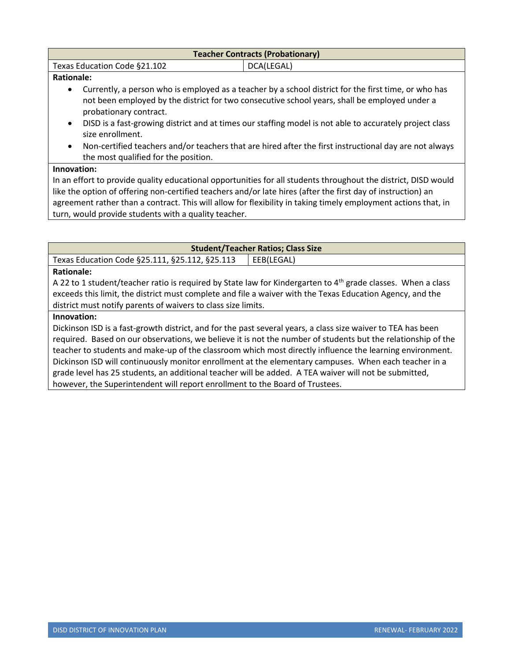| <b>Teacher Contracts (Probationary)</b>                                                              |            |
|------------------------------------------------------------------------------------------------------|------------|
| Texas Education Code §21.102                                                                         | DCA(LEGAL) |
| <b>Rationale:</b>                                                                                    |            |
| Currently, a person who is employed as a teacher by a school district for the first time, or who has |            |
| not been employed by the district for two consecutive school years, shall be employed under a        |            |

- not been employed by the district for two consecutive school years, shall be employed under a probationary contract.
- DISD is a fast-growing district and at times our staffing model is not able to accurately project class size enrollment.
- Non-certified teachers and/or teachers that are hired after the first instructional day are not always the most qualified for the position.

### **Innovation:**

In an effort to provide quality educational opportunities for all students throughout the district, DISD would like the option of offering non-certified teachers and/or late hires (after the first day of instruction) an agreement rather than a contract. This will allow for flexibility in taking timely employment actions that, in turn, would provide students with a quality teacher.

| <b>Student/Teacher Ratios; Class Size</b>      |            |
|------------------------------------------------|------------|
| Texas Education Code §25.111, §25.112, §25.113 | EEB(LEGAL) |
| la mare de la calcación de la calcación        |            |

### **Rationale:**

A 22 to 1 student/teacher ratio is required by State law for Kindergarten to 4<sup>th</sup> grade classes. When a class exceeds this limit, the district must complete and file a waiver with the Texas Education Agency, and the district must notify parents of waivers to class size limits.

#### **Innovation:**

Dickinson ISD is a fast-growth district, and for the past several years, a class size waiver to TEA has been required. Based on our observations, we believe it is not the number of students but the relationship of the teacher to students and make-up of the classroom which most directly influence the learning environment. Dickinson ISD will continuously monitor enrollment at the elementary campuses. When each teacher in a grade level has 25 students, an additional teacher will be added. A TEA waiver will not be submitted, however, the Superintendent will report enrollment to the Board of Trustees.